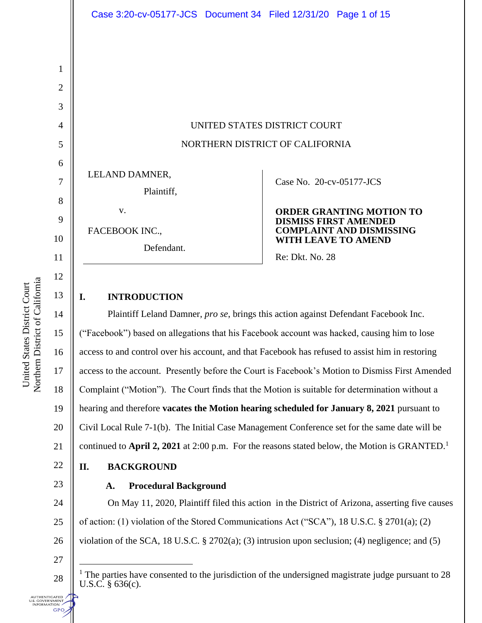UNITED STATES DISTRICT COURT NORTHERN DISTRICT OF CALIFORNIA

LELAND DAMNER,

Plaintiff,

v.

FACEBOOK INC.,

Defendant.

### Case No. [20-cv-05177-JCS](https://ecf.cand.uscourts.gov/cgi-bin/DktRpt.pl?363363)

#### **ORDER GRANTING MOTION TO DISMISS FIRST AMENDED COMPLAINT AND DISMISSING WITH LEAVE TO AMEND**

Re: Dkt. No. 28

# **I. INTRODUCTION**

Plaintiff Leland Damner, *pro se*, brings this action against Defendant Facebook Inc. ("Facebook") based on allegations that his Facebook account was hacked, causing him to lose access to and control over his account, and that Facebook has refused to assist him in restoring access to the account. Presently before the Court is Facebook's Motion to Dismiss First Amended Complaint ("Motion"). The Court finds that the Motion is suitable for determination without a hearing and therefore **vacates the Motion hearing scheduled for January 8, 2021** pursuant to Civil Local Rule 7-1(b). The Initial Case Management Conference set for the same date will be continued to **April 2, 2021** at 2:00 p.m. For the reasons stated below, the Motion is GRANTED.<sup>1</sup>

### **II. BACKGROUND**

# **A. Procedural Background**

24 25 26 On May 11, 2020, Plaintiff filed this action in the District of Arizona, asserting five causes of action: (1) violation of the Stored Communications Act ("SCA"), 18 U.S.C. § 2701(a); (2) violation of the SCA, 18 U.S.C. § 2702(a); (3) intrusion upon seclusion; (4) negligence; and (5)

27

28

**UTHENTICATED** .S. GOVERNMENT<br>INFORMATION **GPO** 

1

2

3

4

5

6

7

8

9

10

11

12

13

14

15

16

17

18

19

20

21

22

<sup>&</sup>lt;sup>1</sup> The parties have consented to the jurisdiction of the undersigned magistrate judge pursuant to 28 U.S.C. § 636(c).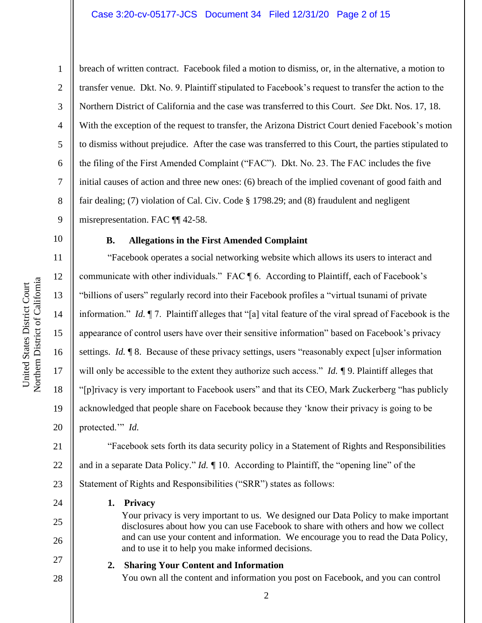#### Case 3:20-cv-05177-JCS Document 34 Filed 12/31/20 Page 2 of 15

1

2

3

4

5

6

7

8

9

10

11

12

13

14

15

16

17

18

19

20

24

25

26

27

28

breach of written contract. Facebook filed a motion to dismiss, or, in the alternative, a motion to transfer venue. Dkt. No. 9. Plaintiff stipulated to Facebook's request to transfer the action to the Northern District of California and the case was transferred to this Court. *See* Dkt. Nos. 17, 18. With the exception of the request to transfer, the Arizona District Court denied Facebook's motion to dismiss without prejudice. After the case was transferred to this Court, the parties stipulated to the filing of the First Amended Complaint ("FAC"). Dkt. No. 23. The FAC includes the five initial causes of action and three new ones: (6) breach of the implied covenant of good faith and fair dealing; (7) violation of Cal. Civ. Code § 1798.29; and (8) fraudulent and negligent misrepresentation. FAC ¶¶ 42-58.

#### **B. Allegations in the First Amended Complaint**

"Facebook operates a social networking website which allows its users to interact and communicate with other individuals." FAC ¶ 6. According to Plaintiff, each of Facebook's "billions of users" regularly record into their Facebook profiles a "virtual tsunami of private information." *Id.* ¶ 7. Plaintiff alleges that "[a] vital feature of the viral spread of Facebook is the appearance of control users have over their sensitive information" based on Facebook's privacy settings. *Id.* 18. Because of these privacy settings, users "reasonably expect [u]ser information will only be accessible to the extent they authorize such access." *Id. [***9**. Plaintiff alleges that "[p]rivacy is very important to Facebook users" and that its CEO, Mark Zuckerberg "has publicly acknowledged that people share on Facebook because they 'know their privacy is going to be protected.'" *Id.* 

21 22 23 "Facebook sets forth its data security policy in a Statement of Rights and Responsibilities and in a separate Data Policy." *Id. ¶* 10. According to Plaintiff, the "opening line" of the Statement of Rights and Responsibilities ("SRR") states as follows:

#### **1. Privacy**

Your privacy is very important to us. We designed our Data Policy to make important disclosures about how you can use Facebook to share with others and how we collect and can use your content and information. We encourage you to read the Data Policy, and to use it to help you make informed decisions.

#### **2. Sharing Your Content and Information**

You own all the content and information you post on Facebook, and you can control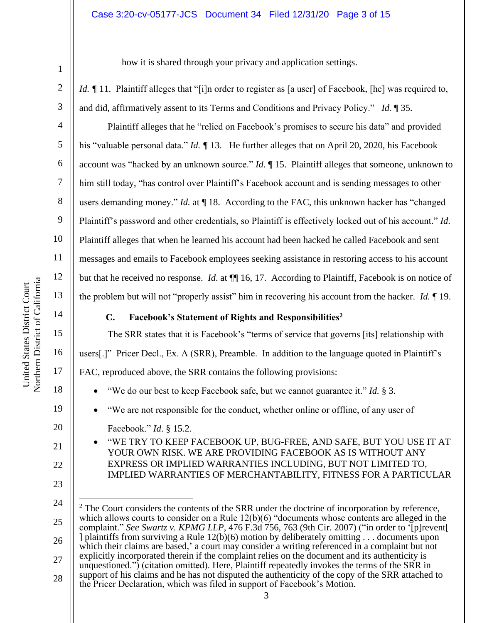#### Case 3:20-cv-05177-JCS Document 34 Filed 12/31/20 Page 3 of 15

6

7

8

9

10

11

12

13

14

15

16

17

18

19

20

21

22

23

how it is shared through your privacy and application settings.

*Id. ¶* 11. Plaintiff alleges that "[i]n order to register as [a user] of Facebook, [he] was required to, and did, affirmatively assent to its Terms and Conditions and Privacy Policy." *Id.* ¶ 35.

Plaintiff alleges that he "relied on Facebook's promises to secure his data" and provided his "valuable personal data." *Id. ¶* 13. He further alleges that on April 20, 2020, his Facebook account was "hacked by an unknown source." *Id.* ¶ 15. Plaintiff alleges that someone, unknown to him still today, "has control over Plaintiff's Facebook account and is sending messages to other users demanding money." *Id.* at  $\P$  18. According to the FAC, this unknown hacker has "changed Plaintiff's password and other credentials, so Plaintiff is effectively locked out of his account." *Id*. Plaintiff alleges that when he learned his account had been hacked he called Facebook and sent messages and emails to Facebook employees seeking assistance in restoring access to his account but that he received no response. *Id*. at ¶¶ 16, 17. According to Plaintiff, Facebook is on notice of the problem but will not "properly assist" him in recovering his account from the hacker. *Id.* ¶ 19.

#### **C. Facebook's Statement of Rights and Responsibilities<sup>2</sup>**

The SRR states that it is Facebook's "terms of service that governs [its] relationship with users[.]" Pricer Decl., Ex. A (SRR), Preamble. In addition to the language quoted in Plaintiff's FAC, reproduced above, the SRR contains the following provisions:

- "We do our best to keep Facebook safe, but we cannot guarantee it." *Id.* § 3.
- "We are not responsible for the conduct, whether online or offline, of any user of
- Facebook." *Id*. § 15.2.
- "WE TRY TO KEEP FACEBOOK UP, BUG-FREE, AND SAFE, BUT YOU USE IT AT YOUR OWN RISK. WE ARE PROVIDING FACEBOOK AS IS WITHOUT ANY EXPRESS OR IMPLIED WARRANTIES INCLUDING, BUT NOT LIMITED TO, IMPLIED WARRANTIES OF MERCHANTABILITY, FITNESS FOR A PARTICULAR

<sup>24</sup> 25 26 27 28  $2$  The Court considers the contents of the SRR under the doctrine of incorporation by reference, which allows courts to consider on a Rule  $12(b)(6)$  "documents whose contents are alleged in the complaint." *See Swartz v. KPMG LLP*, 476 F.3d 756, 763 (9th Cir. 2007) ("in order to '[p]revent[ ] plaintiffs from surviving a Rule 12(b)(6) motion by deliberately omitting . . . documents upon which their claims are based,' a court may consider a writing referenced in a complaint but not explicitly incorporated therein if the complaint relies on the document and its authenticity is unquestioned.") (citation omitted). Here, Plaintiff repeatedly invokes the terms of the SRR in support of his claims and he has not disputed the authenticity of the copy of the SRR attached to the Pricer Declaration, which was filed in support of Facebook's Motion.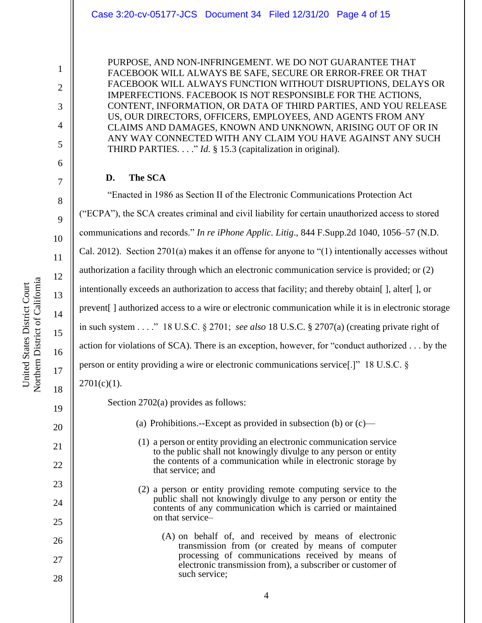#### Case 3:20-cv-05177-JCS Document 34 Filed 12/31/20 Page 4 of 15

PURPOSE, AND NON-INFRINGEMENT. WE DO NOT GUARANTEE THAT FACEBOOK WILL ALWAYS BE SAFE, SECURE OR ERROR-FREE OR THAT FACEBOOK WILL ALWAYS FUNCTION WITHOUT DISRUPTIONS, DELAYS OR IMPERFECTIONS. FACEBOOK IS NOT RESPONSIBLE FOR THE ACTIONS, CONTENT, INFORMATION, OR DATA OF THIRD PARTIES, AND YOU RELEASE US, OUR DIRECTORS, OFFICERS, EMPLOYEES, AND AGENTS FROM ANY CLAIMS AND DAMAGES, KNOWN AND UNKNOWN, ARISING OUT OF OR IN ANY WAY CONNECTED WITH ANY CLAIM YOU HAVE AGAINST ANY SUCH THIRD PARTIES. . . ." *Id*. § 15.3 (capitalization in original).

#### **D. The SCA**

"Enacted in 1986 as Section II of the Electronic Communications Protection Act ("ECPA"), the SCA creates criminal and civil liability for certain unauthorized access to stored communications and records." *In re iPhone Applic. Litig*., 844 F.Supp.2d 1040, 1056–57 (N.D. Cal. 2012). Section 2701(a) makes it an offense for anyone to "(1) intentionally accesses without authorization a facility through which an electronic communication service is provided; or (2) intentionally exceeds an authorization to access that facility; and thereby obtain [], alter [], or prevent[ ] authorized access to a wire or electronic communication while it is in electronic storage in such system . . . ." 18 U.S.C. § 2701; *see also* 18 U.S.C. § 2707(a) (creating private right of action for violations of SCA). There is an exception, however, for "conduct authorized . . . by the person or entity providing a wire or electronic communications service[.]" 18 U.S.C. §  $2701(c)(1)$ .

Section 2702(a) provides as follows:

- (a) Prohibitions.--Except as provided in subsection (b) or  $(c)$ 
	- (1) a person or entity providing an electronic communication service to the public shall not knowingly divulge to any person or entity the contents of a communication while in electronic storage by that service; and
	- (2) a person or entity providing remote computing service to the public shall not knowingly divulge to any person or entity the contents of any communication which is carried or maintained on that service–
		- (A) on behalf of, and received by means of electronic transmission from (or created by means of computer processing of communications received by means of electronic transmission from), a subscriber or customer of such service;

1

2

3

4

5

6

7

8

9

10

11

12

13

14

15

16

17

18

19

20

21

22

23

24

25

26

27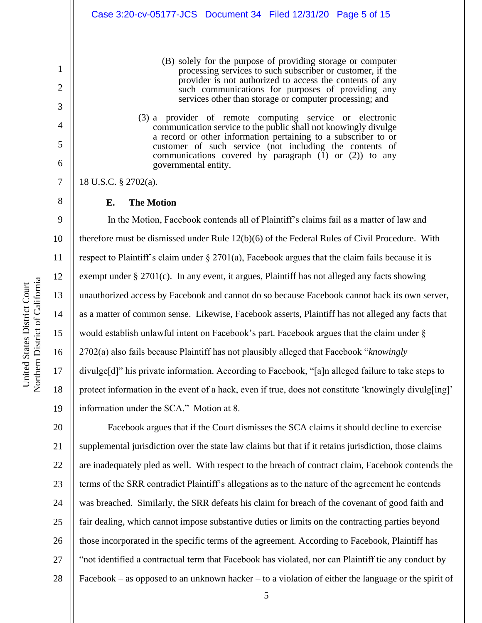- (B) solely for the purpose of providing storage or computer processing services to such subscriber or customer, if the provider is not authorized to access the contents of any such communications for purposes of providing any services other than storage or computer processing; and
- (3) a provider of remote computing service or electronic communication service to the public shall not knowingly divulge a record or other information pertaining to a subscriber to or customer of such service (not including the contents of communications covered by paragraph  $(1)$  or  $(2)$ ) to any governmental entity.

18 U.S.C. § 2702(a).

1

2

3

4

5

6

7

8

#### **E. The Motion**

9 10 11 12 13 14 15 16 17 18 19 In the Motion, Facebook contends all of Plaintiff's claims fail as a matter of law and therefore must be dismissed under Rule 12(b)(6) of the Federal Rules of Civil Procedure. With respect to Plaintiff's claim under  $\S 2701(a)$ , Facebook argues that the claim fails because it is exempt under § 2701(c). In any event, it argues, Plaintiff has not alleged any facts showing unauthorized access by Facebook and cannot do so because Facebook cannot hack its own server, as a matter of common sense. Likewise, Facebook asserts, Plaintiff has not alleged any facts that would establish unlawful intent on Facebook's part. Facebook argues that the claim under § 2702(a) also fails because Plaintiff has not plausibly alleged that Facebook "*knowingly*  divulge[d]" his private information. According to Facebook, "[a]n alleged failure to take steps to protect information in the event of a hack, even if true, does not constitute 'knowingly divulg[ing]' information under the SCA." Motion at 8.

20 21 22 23 24 25 26 27 28 Facebook argues that if the Court dismisses the SCA claims it should decline to exercise supplemental jurisdiction over the state law claims but that if it retains jurisdiction, those claims are inadequately pled as well. With respect to the breach of contract claim, Facebook contends the terms of the SRR contradict Plaintiff's allegations as to the nature of the agreement he contends was breached. Similarly, the SRR defeats his claim for breach of the covenant of good faith and fair dealing, which cannot impose substantive duties or limits on the contracting parties beyond those incorporated in the specific terms of the agreement. According to Facebook, Plaintiff has "not identified a contractual term that Facebook has violated, nor can Plaintiff tie any conduct by Facebook – as opposed to an unknown hacker – to a violation of either the language or the spirit of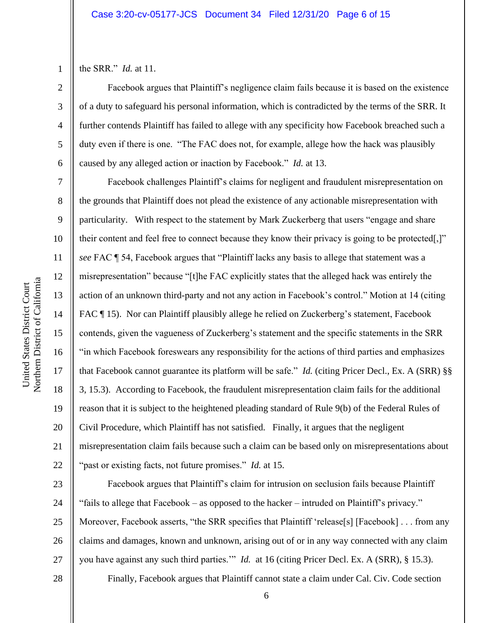3

4

5

6

7

8

9

10

11

12

13

14

15

16

17

18

19

20

21

22

the SRR." *Id.* at 11.

Facebook argues that Plaintiff's negligence claim fails because it is based on the existence of a duty to safeguard his personal information, which is contradicted by the terms of the SRR. It further contends Plaintiff has failed to allege with any specificity how Facebook breached such a duty even if there is one. "The FAC does not, for example, allege how the hack was plausibly caused by any alleged action or inaction by Facebook." *Id.* at 13.

Facebook challenges Plaintiff's claims for negligent and fraudulent misrepresentation on the grounds that Plaintiff does not plead the existence of any actionable misrepresentation with particularity. With respect to the statement by Mark Zuckerberg that users "engage and share their content and feel free to connect because they know their privacy is going to be protected[,]" *see* FAC ¶ 54, Facebook argues that "Plaintiff lacks any basis to allege that statement was a misrepresentation" because "[t]he FAC explicitly states that the alleged hack was entirely the action of an unknown third-party and not any action in Facebook's control." Motion at 14 (citing FAC ¶ 15). Nor can Plaintiff plausibly allege he relied on Zuckerberg's statement, Facebook contends, given the vagueness of Zuckerberg's statement and the specific statements in the SRR "in which Facebook foreswears any responsibility for the actions of third parties and emphasizes that Facebook cannot guarantee its platform will be safe." *Id.* (citing Pricer Decl., Ex. A (SRR) §§ 3, 15.3). According to Facebook, the fraudulent misrepresentation claim fails for the additional reason that it is subject to the heightened pleading standard of Rule 9(b) of the Federal Rules of Civil Procedure, which Plaintiff has not satisfied. Finally, it argues that the negligent misrepresentation claim fails because such a claim can be based only on misrepresentations about "past or existing facts, not future promises." *Id.* at 15.

23 24 25 26 27 Facebook argues that Plaintiff's claim for intrusion on seclusion fails because Plaintiff "fails to allege that Facebook – as opposed to the hacker – intruded on Plaintiff's privacy." Moreover, Facebook asserts, "the SRR specifies that Plaintiff 'release[s] [Facebook] . . . from any claims and damages, known and unknown, arising out of or in any way connected with any claim you have against any such third parties.'" *Id.* at 16 (citing Pricer Decl. Ex. A (SRR), § 15.3).

28

6

Finally, Facebook argues that Plaintiff cannot state a claim under Cal. Civ. Code section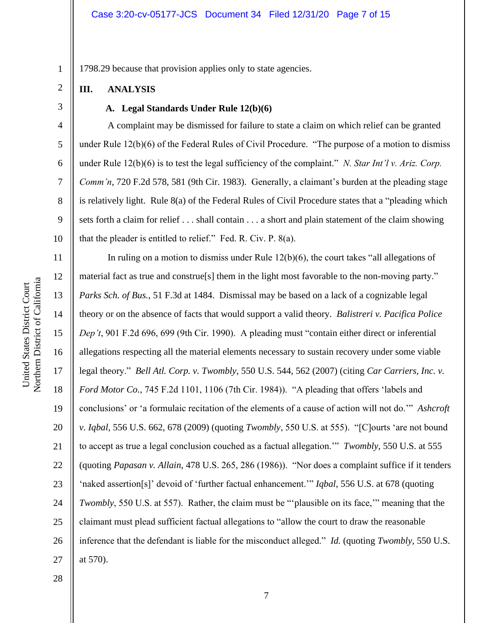1798.29 because that provision applies only to state agencies.

#### **III. ANALYSIS**

#### 3

4

5

6

7

8

9

10

11

12

13

14

15

16

17

18

19

20

21

22

23

24

25

26

27

1

2

#### **A. Legal Standards Under Rule 12(b)(6)**

A complaint may be dismissed for failure to state a claim on which relief can be granted under Rule 12(b)(6) of the Federal Rules of Civil Procedure. "The purpose of a motion to dismiss under Rule 12(b)(6) is to test the legal sufficiency of the complaint." *N. Star Int'l v. Ariz. Corp. Comm'n*, 720 F.2d 578, 581 (9th Cir. 1983). Generally, a claimant's burden at the pleading stage is relatively light. Rule 8(a) of the Federal Rules of Civil Procedure states that a "pleading which sets forth a claim for relief . . . shall contain . . . a short and plain statement of the claim showing that the pleader is entitled to relief." Fed. R. Civ. P. 8(a).

In ruling on a motion to dismiss under Rule 12(b)(6), the court takes "all allegations of material fact as true and construe[s] them in the light most favorable to the non-moving party." *Parks Sch. of Bus.*, 51 F.3d at 1484. Dismissal may be based on a lack of a cognizable legal theory or on the absence of facts that would support a valid theory. *Balistreri v. Pacifica Police Dep't*, 901 F.2d 696, 699 (9th Cir. 1990). A pleading must "contain either direct or inferential allegations respecting all the material elements necessary to sustain recovery under some viable legal theory." *Bell Atl. Corp. v. Twombly*, 550 U.S. 544, 562 (2007) (citing *Car Carriers, Inc. v. Ford Motor Co.*, 745 F.2d 1101, 1106 (7th Cir. 1984)). "A pleading that offers 'labels and conclusions' or 'a formulaic recitation of the elements of a cause of action will not do.'" *Ashcroft v. Iqbal*, 556 U.S. 662, 678 (2009) (quoting *Twombly*, 550 U.S. at 555). "[C]ourts 'are not bound to accept as true a legal conclusion couched as a factual allegation.'" *Twombly*, 550 U.S. at 555 (quoting *Papasan v. Allain*, 478 U.S. 265, 286 (1986)). "Nor does a complaint suffice if it tenders 'naked assertion[s]' devoid of 'further factual enhancement.'" *Iqbal*, 556 U.S. at 678 (quoting *Twombly*, 550 U.S. at 557). Rather, the claim must be "plausible on its face," meaning that the claimant must plead sufficient factual allegations to "allow the court to draw the reasonable inference that the defendant is liable for the misconduct alleged." *Id.* (quoting *Twombly*, 550 U.S. at 570).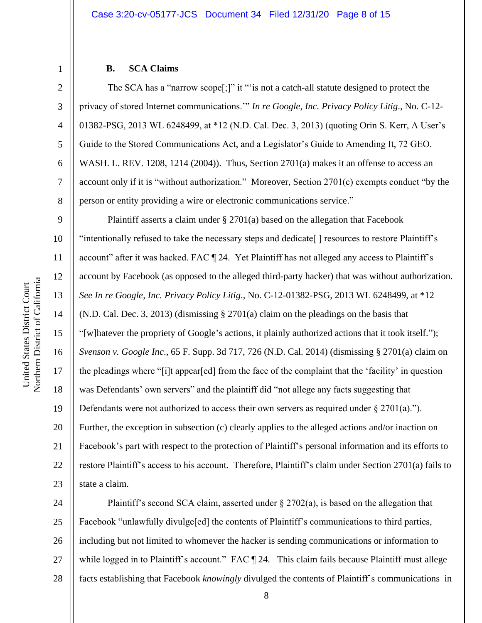#### **B. SCA Claims**

The SCA has a "narrow scope[;]" it "'is not a catch-all statute designed to protect the privacy of stored Internet communications.'" *In re Google, Inc. Privacy Policy Litig*., No. C-12- 01382-PSG, 2013 WL 6248499, at \*12 (N.D. Cal. Dec. 3, 2013) (quoting Orin S. Kerr, A User's Guide to the Stored Communications Act, and a Legislator's Guide to Amending It, 72 GEO. WASH. L. REV. 1208, 1214 (2004)). Thus, Section  $2701(a)$  makes it an offense to access an account only if it is "without authorization." Moreover, Section 2701(c) exempts conduct "by the person or entity providing a wire or electronic communications service."

9 10 11 12 13 14 15 16 17 18 19 20 21 22 23 Plaintiff asserts a claim under § 2701(a) based on the allegation that Facebook "intentionally refused to take the necessary steps and dedicate[ ] resources to restore Plaintiff's account" after it was hacked. FAC [24. Yet Plaintiff has not alleged any access to Plaintiff's account by Facebook (as opposed to the alleged third-party hacker) that was without authorization. *See In re Google, Inc. Privacy Policy Litig*., No. C-12-01382-PSG, 2013 WL 6248499, at \*12 (N.D. Cal. Dec. 3, 2013) (dismissing § 2701(a) claim on the pleadings on the basis that "[w]hatever the propriety of Google's actions, it plainly authorized actions that it took itself."); *Svenson v. Google Inc*., 65 F. Supp. 3d 717, 726 (N.D. Cal. 2014) (dismissing § 2701(a) claim on the pleadings where "[i]t appear[ed] from the face of the complaint that the 'facility' in question was Defendants' own servers" and the plaintiff did "not allege any facts suggesting that Defendants were not authorized to access their own servers as required under  $\S 2701(a)$ ."). Further, the exception in subsection (c) clearly applies to the alleged actions and/or inaction on Facebook's part with respect to the protection of Plaintiff's personal information and its efforts to restore Plaintiff's access to his account. Therefore, Plaintiff's claim under Section 2701(a) fails to state a claim.

24 25 26 27 28 Plaintiff's second SCA claim, asserted under  $\S 2702(a)$ , is based on the allegation that Facebook "unlawfully divulge[ed] the contents of Plaintiff's communications to third parties, including but not limited to whomever the hacker is sending communications or information to while logged in to Plaintiff's account." FAC ¶ 24. This claim fails because Plaintiff must allege facts establishing that Facebook *knowingly* divulged the contents of Plaintiff's communications in

1

2

3

4

5

6

7

8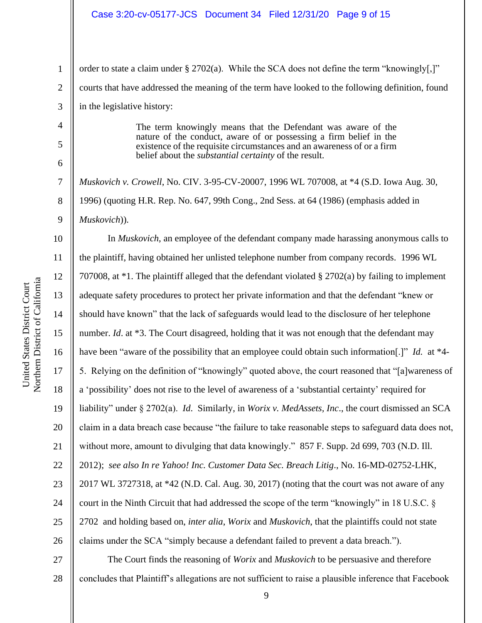#### Case 3:20-cv-05177-JCS Document 34 Filed 12/31/20 Page 9 of 15

order to state a claim under § 2702(a). While the SCA does not define the term "knowingly[,]" courts that have addressed the meaning of the term have looked to the following definition, found in the legislative history:

> The term knowingly means that the Defendant was aware of the nature of the conduct, aware of or possessing a firm belief in the existence of the requisite circumstances and an awareness of or a firm belief about the *substantial certainty* of the result.

*Muskovich v. Crowell*, No. CIV. 3-95-CV-20007, 1996 WL 707008, at \*4 (S.D. Iowa Aug. 30, 1996) (quoting H.R. Rep. No. 647, 99th Cong., 2nd Sess. at 64 (1986) (emphasis added in *Muskovich*)).

10 11 12 13 14 15 16 17 18 19 20 21 22 23 24 25 26 In *Muskovich*, an employee of the defendant company made harassing anonymous calls to the plaintiff, having obtained her unlisted telephone number from company records. 1996 WL 707008, at \*1. The plaintiff alleged that the defendant violated § 2702(a) by failing to implement adequate safety procedures to protect her private information and that the defendant "knew or should have known" that the lack of safeguards would lead to the disclosure of her telephone number. *Id.* at \*3. The Court disagreed, holding that it was not enough that the defendant may have been "aware of the possibility that an employee could obtain such information[.]" *Id.* at \*4- 5. Relying on the definition of "knowingly" quoted above, the court reasoned that "[a]wareness of a 'possibility' does not rise to the level of awareness of a 'substantial certainty' required for liability" under § 2702(a). *Id*. Similarly, in *Worix v. MedAssets, Inc*., the court dismissed an SCA claim in a data breach case because "the failure to take reasonable steps to safeguard data does not, without more, amount to divulging that data knowingly." 857 F. Supp. 2d 699, 703 (N.D. Ill.) 2012); *see also In re Yahoo! Inc. Customer Data Sec. Breach Litig*., No. 16-MD-02752-LHK, 2017 WL 3727318, at \*42 (N.D. Cal. Aug. 30, 2017) (noting that the court was not aware of any court in the Ninth Circuit that had addressed the scope of the term "knowingly" in 18 U.S.C. § 2702 and holding based on, *inter alia*, *Worix* and *Muskovich*, that the plaintiffs could not state claims under the SCA "simply because a defendant failed to prevent a data breach.").

27 28 The Court finds the reasoning of *Worix* and *Muskovich* to be persuasive and therefore concludes that Plaintiff's allegations are not sufficient to raise a plausible inference that Facebook

1

2

3

4

5

6

7

8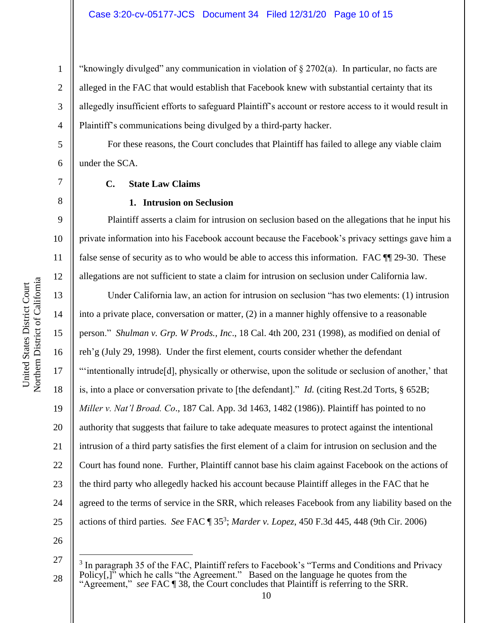"knowingly divulged" any communication in violation of  $\S 2702(a)$ . In particular, no facts are alleged in the FAC that would establish that Facebook knew with substantial certainty that its allegedly insufficient efforts to safeguard Plaintiff's account or restore access to it would result in Plaintiff's communications being divulged by a third-party hacker.

For these reasons, the Court concludes that Plaintiff has failed to allege any viable claim under the SCA.

#### **C. State Law Claims**

#### **1. Intrusion on Seclusion**

Plaintiff asserts a claim for intrusion on seclusion based on the allegations that he input his private information into his Facebook account because the Facebook's privacy settings gave him a false sense of security as to who would be able to access this information. FAC ¶¶ 29-30. These allegations are not sufficient to state a claim for intrusion on seclusion under California law.

15 16 20 22 24 Under California law, an action for intrusion on seclusion "has two elements: (1) intrusion into a private place, conversation or matter, (2) in a manner highly offensive to a reasonable person." *Shulman v. Grp. W Prods., Inc*., 18 Cal. 4th 200, 231 (1998), as modified on denial of reh'g (July 29, 1998). Under the first element, courts consider whether the defendant "'intentionally intrude[d], physically or otherwise, upon the solitude or seclusion of another,' that is, into a place or conversation private to [the defendant]." *Id.* (citing Rest.2d Torts, § 652B; *Miller v. Nat'l Broad. Co*., 187 Cal. App. 3d 1463, 1482 (1986)). Plaintiff has pointed to no authority that suggests that failure to take adequate measures to protect against the intentional intrusion of a third party satisfies the first element of a claim for intrusion on seclusion and the Court has found none. Further, Plaintiff cannot base his claim against Facebook on the actions of the third party who allegedly hacked his account because Plaintiff alleges in the FAC that he agreed to the terms of service in the SRR, which releases Facebook from any liability based on the actions of third parties. *See* FAC ¶ 35<sup>3</sup> ; *Marder v. Lopez*, 450 F.3d 445, 448 (9th Cir. 2006)

26

25

1

2

3

4

5

6

7

8

9

10

11

12

13

14

17

18

19

21

<sup>27</sup> 28  $3$  In paragraph 35 of the FAC, Plaintiff refers to Facebook's "Terms and Conditions and Privacy Policy[,]" which he calls "the Agreement." Based on the language he quotes from the "Agreement," *see* FAC ¶ 38, the Court concludes that Plaintiff is referring to the SRR.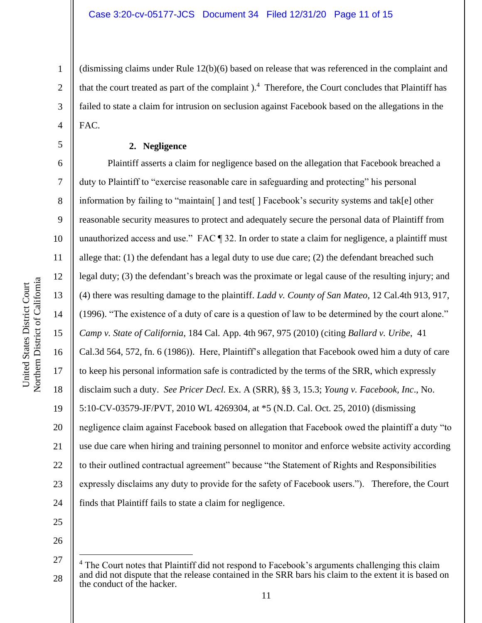(dismissing claims under Rule 12(b)(6) based on release that was referenced in the complaint and that the court treated as part of the complaint .<sup>4</sup> Therefore, the Court concludes that Plaintiff has failed to state a claim for intrusion on seclusion against Facebook based on the allegations in the FAC.

#### **2. Negligence**

6 7 8 9 10 11 12 13 14 15 16 17 18 19 20 21 22 23 24 Plaintiff asserts a claim for negligence based on the allegation that Facebook breached a duty to Plaintiff to "exercise reasonable care in safeguarding and protecting" his personal information by failing to "maintain[ ] and test[ ] Facebook's security systems and tak[e] other reasonable security measures to protect and adequately secure the personal data of Plaintiff from unauthorized access and use." FAC ¶ 32. In order to state a claim for negligence, a plaintiff must allege that: (1) the defendant has a legal duty to use due care; (2) the defendant breached such legal duty; (3) the defendant's breach was the proximate or legal cause of the resulting injury; and (4) there was resulting damage to the plaintiff. *Ladd v. County of San Mateo*, 12 Cal.4th 913, 917, (1996). "The existence of a duty of care is a question of law to be determined by the court alone." *Camp v. State of California*, 184 Cal. App. 4th 967, 975 (2010) (citing *Ballard v. Uribe*, 41 Cal.3d 564, 572, fn. 6 (1986)). Here, Plaintiff's allegation that Facebook owed him a duty of care to keep his personal information safe is contradicted by the terms of the SRR, which expressly disclaim such a duty. *See Pricer Decl.* Ex. A (SRR), §§ 3, 15.3; *Young v. Facebook, Inc*., No. 5:10-CV-03579-JF/PVT, 2010 WL 4269304, at \*5 (N.D. Cal. Oct. 25, 2010) (dismissing negligence claim against Facebook based on allegation that Facebook owed the plaintiff a duty "to use due care when hiring and training personnel to monitor and enforce website activity according to their outlined contractual agreement" because "the Statement of Rights and Responsibilities expressly disclaims any duty to provide for the safety of Facebook users."). Therefore, the Court finds that Plaintiff fails to state a claim for negligence.

25 26

1

2

3

4

<sup>27</sup> 28 <sup>4</sup> The Court notes that Plaintiff did not respond to Facebook's arguments challenging this claim and did not dispute that the release contained in the SRR bars his claim to the extent it is based on the conduct of the hacker.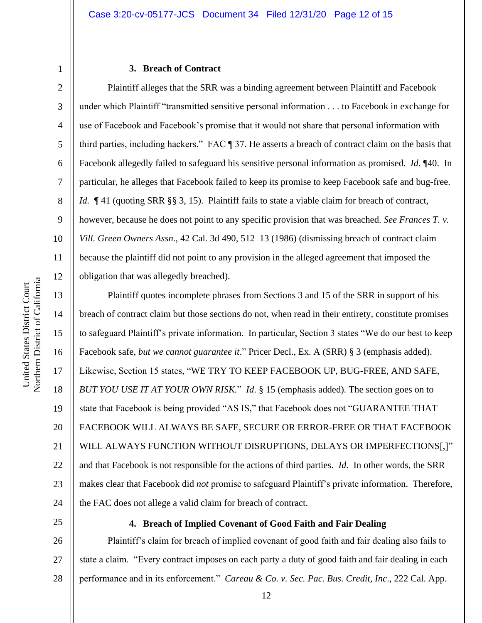7

8

9

10

11

12

13

14

15

16

17

18

19

20

21

22

23

24

#### **3. Breach of Contract**

Plaintiff alleges that the SRR was a binding agreement between Plaintiff and Facebook under which Plaintiff "transmitted sensitive personal information . . . to Facebook in exchange for use of Facebook and Facebook's promise that it would not share that personal information with third parties, including hackers." FAC ¶ 37. He asserts a breach of contract claim on the basis that Facebook allegedly failed to safeguard his sensitive personal information as promised. *Id.* ¶40. In particular, he alleges that Facebook failed to keep its promise to keep Facebook safe and bug-free. *Id.*  $\P$  41 (quoting SRR §§ 3, 15). Plaintiff fails to state a viable claim for breach of contract, however, because he does not point to any specific provision that was breached. *See Frances T. v. Vill. Green Owners Assn*., 42 Cal. 3d 490, 512–13 (1986) (dismissing breach of contract claim because the plaintiff did not point to any provision in the alleged agreement that imposed the obligation that was allegedly breached).

Plaintiff quotes incomplete phrases from Sections 3 and 15 of the SRR in support of his breach of contract claim but those sections do not, when read in their entirety, constitute promises to safeguard Plaintiff's private information. In particular, Section 3 states "We do our best to keep Facebook safe, *but we cannot guarantee it*." Pricer Decl., Ex. A (SRR) § 3 (emphasis added). Likewise, Section 15 states, "WE TRY TO KEEP FACEBOOK UP, BUG-FREE, AND SAFE, *BUT YOU USE IT AT YOUR OWN RISK.*" *Id*. § 15 (emphasis added)*.* The section goes on to state that Facebook is being provided "AS IS," that Facebook does not "GUARANTEE THAT FACEBOOK WILL ALWAYS BE SAFE, SECURE OR ERROR-FREE OR THAT FACEBOOK WILL ALWAYS FUNCTION WITHOUT DISRUPTIONS, DELAYS OR IMPERFECTIONS[,]" and that Facebook is not responsible for the actions of third parties. *Id.* In other words, the SRR makes clear that Facebook did *not* promise to safeguard Plaintiff's private information. Therefore, the FAC does not allege a valid claim for breach of contract.

25

#### **4. Breach of Implied Covenant of Good Faith and Fair Dealing**

26 27 28 Plaintiff's claim for breach of implied covenant of good faith and fair dealing also fails to state a claim. "Every contract imposes on each party a duty of good faith and fair dealing in each performance and in its enforcement." *Careau & Co. v. Sec. Pac. Bus. Credit, Inc*., 222 Cal. App.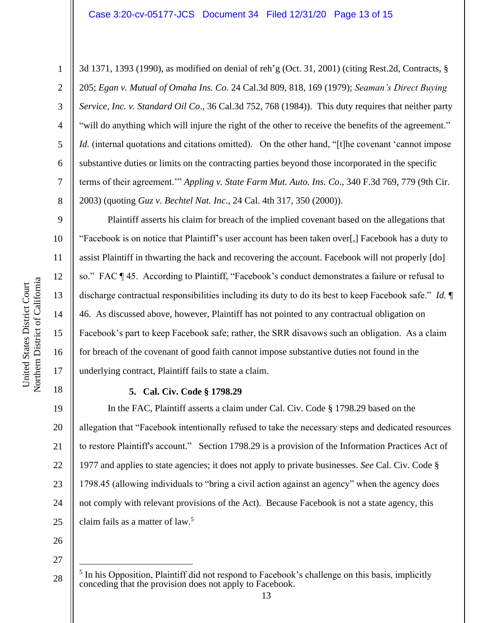3d 1371, 1393 (1990), as modified on denial of reh'g (Oct. 31, 2001) (citing Rest.2d, Contracts, § 205; *Egan v. Mutual of Omaha Ins. Co*. 24 Cal.3d 809, 818, 169 (1979); *Seaman's Direct Buying Service, Inc. v. Standard Oil Co*., 36 Cal.3d 752, 768 (1984)). This duty requires that neither party "will do anything which will injure the right of the other to receive the benefits of the agreement." *Id.* (internal quotations and citations omitted). On the other hand, "[t]he covenant 'cannot impose substantive duties or limits on the contracting parties beyond those incorporated in the specific terms of their agreement.'" *Appling v. State Farm Mut. Auto. Ins. Co*., 340 F.3d 769, 779 (9th Cir. 2003) (quoting *Guz v. Bechtel Nat. Inc*., 24 Cal. 4th 317, 350 (2000)).

Plaintiff asserts his claim for breach of the implied covenant based on the allegations that "Facebook is on notice that Plaintiff's user account has been taken over[,] Facebook has a duty to assist Plaintiff in thwarting the hack and recovering the account. Facebook will not properly [do] so." FAC ¶ 45. According to Plaintiff, "Facebook's conduct demonstrates a failure or refusal to discharge contractual responsibilities including its duty to do its best to keep Facebook safe." *Id.* ¶ 46. As discussed above, however, Plaintiff has not pointed to any contractual obligation on Facebook's part to keep Facebook safe; rather, the SRR disavows such an obligation. As a claim for breach of the covenant of good faith cannot impose substantive duties not found in the underlying contract, Plaintiff fails to state a claim.

1

2

3

4

5

6

7

8

9

10

11

12

13

14

15

16

17

18

19

20

21

23

# **5. Cal. Civ. Code § 1798.29**

22 24 In the FAC, Plaintiff asserts a claim under Cal. Civ. Code § 1798.29 based on the allegation that "Facebook intentionally refused to take the necessary steps and dedicated resources to restore Plaintiff's account." Section 1798.29 is a provision of the Information Practices Act of 1977 and applies to state agencies; it does not apply to private businesses. *See* Cal. Civ. Code § 1798.45 (allowing individuals to "bring a civil action against an agency" when the agency does not comply with relevant provisions of the Act). Because Facebook is not a state agency, this claim fails as a matter of law. 5

26

27

<sup>28</sup> <sup>5</sup> In his Opposition, Plaintiff did not respond to Facebook's challenge on this basis, implicitly conceding that the provision does not apply to Facebook.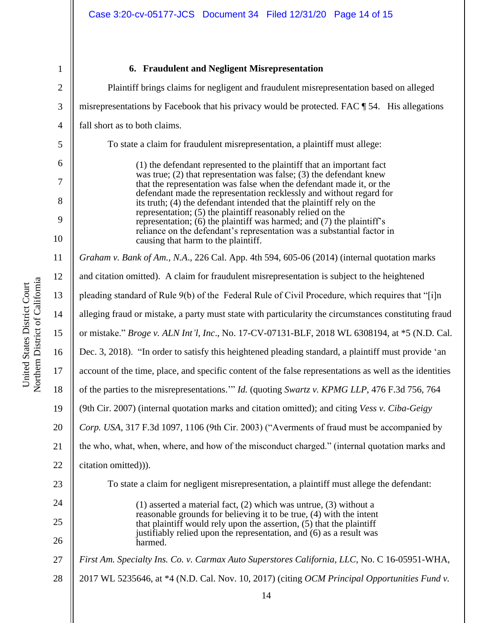# **6. Fraudulent and Negligent Misrepresentation**

| misrepresentations by Facebook that his privacy would be protected. FAC ¶ 54. His allegations<br>To state a claim for fraudulent misrepresentation, a plaintiff must allege:<br>(1) the defendant represented to the plaintiff that an important fact<br>was true; $(2)$ that representation was false; $(3)$ the defendant knew |
|----------------------------------------------------------------------------------------------------------------------------------------------------------------------------------------------------------------------------------------------------------------------------------------------------------------------------------|
|                                                                                                                                                                                                                                                                                                                                  |
|                                                                                                                                                                                                                                                                                                                                  |
|                                                                                                                                                                                                                                                                                                                                  |
|                                                                                                                                                                                                                                                                                                                                  |
| that the representation was false when the defendant made it, or the                                                                                                                                                                                                                                                             |
| defendant made the representation recklessly and without regard for<br>its truth; (4) the defendant intended that the plaintiff rely on the<br>representation; (5) the plaintiff reasonably relied on the                                                                                                                        |
| representation; (6) the plaintiff was harmed; and (7) the plaintiff's<br>reliance on the defendant's representation was a substantial factor in                                                                                                                                                                                  |
| Graham v. Bank of Am., N.A., 226 Cal. App. 4th 594, 605-06 (2014) (internal quotation marks                                                                                                                                                                                                                                      |
| and citation omitted). A claim for fraudulent misrepresentation is subject to the heightened                                                                                                                                                                                                                                     |
| pleading standard of Rule 9(b) of the Federal Rule of Civil Procedure, which requires that "[i]n                                                                                                                                                                                                                                 |
| alleging fraud or mistake, a party must state with particularity the circumstances constituting fraud                                                                                                                                                                                                                            |
| or mistake." Broge v. ALN Int'l, Inc., No. 17-CV-07131-BLF, 2018 WL 6308194, at *5 (N.D. Cal.                                                                                                                                                                                                                                    |
| Dec. 3, 2018). "In order to satisfy this heightened pleading standard, a plaintiff must provide 'an                                                                                                                                                                                                                              |
| account of the time, place, and specific content of the false representations as well as the identities                                                                                                                                                                                                                          |
| of the parties to the misrepresentations." <i>Id.</i> (quoting <i>Swartz v. KPMG LLP</i> , 476 F.3d 756, 764                                                                                                                                                                                                                     |
| (9th Cir. 2007) (internal quotation marks and citation omitted); and citing Vess v. Ciba-Geigy                                                                                                                                                                                                                                   |
| Corp. USA, 317 F.3d 1097, 1106 (9th Cir. 2003) ("Averments of fraud must be accompanied by                                                                                                                                                                                                                                       |
| the who, what, when, where, and how of the misconduct charged." (internal quotation marks and                                                                                                                                                                                                                                    |
|                                                                                                                                                                                                                                                                                                                                  |
| To state a claim for negligent misrepresentation, a plaintiff must allege the defendant:                                                                                                                                                                                                                                         |
| $(1)$ asserted a material fact, $(2)$ which was untrue, $(3)$ without a                                                                                                                                                                                                                                                          |
| reasonable grounds for believing it to be true, (4) with the intent<br>that plaintiff would rely upon the assertion, (5) that the plaintiff                                                                                                                                                                                      |
| justifiably relied upon the representation, and (6) as a result was                                                                                                                                                                                                                                                              |
| First Am. Specialty Ins. Co. v. Carmax Auto Superstores California, LLC, No. C 16-05951-WHA,                                                                                                                                                                                                                                     |
| 2017 WL 5235646, at *4 (N.D. Cal. Nov. 10, 2017) (citing OCM Principal Opportunities Fund v.                                                                                                                                                                                                                                     |
|                                                                                                                                                                                                                                                                                                                                  |
|                                                                                                                                                                                                                                                                                                                                  |